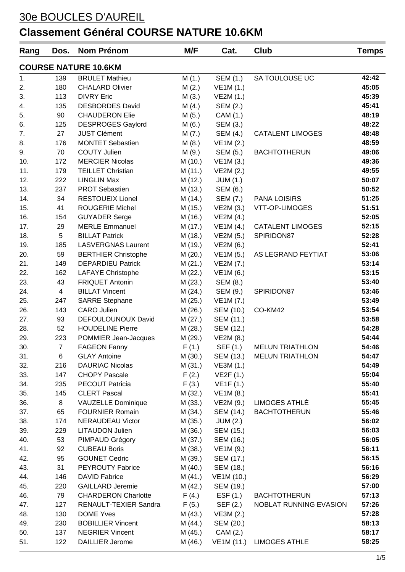| Rang                        | Dos.           | <b>Nom Prénom</b>          | M/F     | Cat.                 | <b>Club</b>              | <b>Temps</b> |  |  |
|-----------------------------|----------------|----------------------------|---------|----------------------|--------------------------|--------------|--|--|
| <b>COURSE NATURE 10.6KM</b> |                |                            |         |                      |                          |              |  |  |
| 1.                          | 139            | <b>BRULET Mathieu</b>      | M(1.)   | SEM (1.)             | SA TOULOUSE UC           | 42:42        |  |  |
| 2.                          | 180            | <b>CHALARD Olivier</b>     | M(2.)   | VE1M (1.)            |                          | 45:05        |  |  |
| 3.                          | 113            | <b>DIVRY Eric</b>          | M(3.)   | VE2M (1.)            |                          | 45:39        |  |  |
| 4.                          | 135            | <b>DESBORDES David</b>     | M(4.)   | <b>SEM (2.)</b>      |                          | 45:41        |  |  |
| 5.                          | 90             | <b>CHAUDERON Elie</b>      | M(5.)   | CAM (1.)             |                          | 48:19        |  |  |
| 6.                          | 125            | <b>DESPROGES Gaylord</b>   | M(6.)   | SEM (3.)             |                          | 48:22        |  |  |
| 7.                          | 27             | <b>JUST Clément</b>        | M(7.)   | SEM (4.)             | <b>CATALENT LIMOGES</b>  | 48:48        |  |  |
| 8.                          | 176            | <b>MONTET Sebastien</b>    | M(8.)   | VE1M (2.)            |                          | 48:59        |  |  |
| 9.                          | 70             | <b>COUTY Julien</b>        | M(9.)   | SEM (5.)             | <b>BACHTOTHERUN</b>      | 49:06        |  |  |
| 10.                         | 172            | <b>MERCIER Nicolas</b>     | M (10.) | VE1M (3.)            |                          | 49:36        |  |  |
| 11.                         | 179            | <b>TEILLET Christian</b>   | M (11.) | VE2M (2.)            |                          | 49:55        |  |  |
| 12.                         | 222            | <b>LINGLIN Max</b>         | M (12.) | JUM(1.)              |                          | 50:07        |  |  |
| 13.                         | 237            | <b>PROT Sebastien</b>      | M (13.) | SEM (6.)             |                          | 50:52        |  |  |
| 14.                         | 34             | <b>RESTOUEIX Lionel</b>    | M (14.) | SEM (7.)             | <b>PANA LOISIRS</b>      | 51:25        |  |  |
| 15.                         | 41             | <b>ROUGERIE Michel</b>     | M(15.)  | VE2M (3.)            | VTT-OP-LIMOGES           | 51:51        |  |  |
| 16.                         | 154            | <b>GUYADER Serge</b>       | M (16.) | VE2M (4.)            |                          | 52:05        |  |  |
| 17.                         | 29             | <b>MERLE Emmanuel</b>      | M (17.) | VE1M(4.)             | <b>CATALENT LIMOGES</b>  | 52:15        |  |  |
| 18.                         | 5              | <b>BILLAT Patrick</b>      | M (18.) | VE2M (5.)            | SPIRIDON87               | 52:28        |  |  |
| 19.                         | 185            | <b>LASVERGNAS Laurent</b>  | M (19.) | VE2M (6.)            |                          | 52:41        |  |  |
| 20.                         | 59             | <b>BERTHIER Christophe</b> | M(20.)  | VE1M (5.)            | AS LEGRAND FEYTIAT       | 53:06        |  |  |
| 21.                         | 149            | <b>DEPARDIEU Patrick</b>   | M(21.)  | VE2M (7.)            |                          | 53:14        |  |  |
| 22.                         | 162            | <b>LAFAYE Christophe</b>   | M(22.)  | VE1M (6.)            |                          | 53:15        |  |  |
| 23.                         | 43             | <b>FRIQUET Antonin</b>     | M(23.)  | SEM (8.)             |                          | 53:40        |  |  |
| 24.                         | $\overline{4}$ | <b>BILLAT Vincent</b>      | M(24.)  | SEM (9.)             | SPIRIDON87               | 53:46        |  |  |
| 25.                         | 247            | <b>SARRE Stephane</b>      | M (25.) | VE1M (7.)            |                          | 53:49        |  |  |
| 26.                         | 143            | <b>CARO Julien</b>         | M(26.)  | SEM (10.)            | CO-KM42                  | 53:54        |  |  |
| 27.                         | 93             | DEFOULOUNOUX David         | M(27.)  | SEM (11.)            |                          | 53:58        |  |  |
| 28.                         | 52             | <b>HOUDELINE Pierre</b>    | M(28.)  | SEM (12.)            |                          | 54:28        |  |  |
| 29.                         | 223            | POMMIER Jean-Jacques       | M (29.) | VE2M (8.)            |                          | 54:44        |  |  |
| 30.                         | $\overline{7}$ | <b>FAGEON Fanny</b>        | F(1.)   | SEF (1.)             | <b>MELUN TRIATHLON</b>   | 54:46        |  |  |
| 31.                         | 6.             | <b>GLAY Antoine</b>        | M (30.) | SEM (13.)            | <b>MELUN TRIATHLON</b>   | 54:47        |  |  |
| 32.                         | 216            | <b>DAURIAC Nicolas</b>     |         | $M(31.)$ VE3M $(1.)$ |                          | 54:49        |  |  |
| 33.                         | 147            | <b>CHOPY Pascale</b>       | F(2.)   | VE2F(1.)             |                          | 55:04        |  |  |
| 34.                         | 235            | PECOUT Patricia            | F(3.)   | VE1F(1.)             |                          | 55:40        |  |  |
| 35.                         | 145            | <b>CLERT Pascal</b>        | M (32.) | VE1M (8.)            |                          | 55:41        |  |  |
| 36.                         | 8              | VAUZELLE Dominique         | M (33.) | VE2M (9.)            | LIMOGES ATHLÉ            | 55:45        |  |  |
| 37.                         | 65             | <b>FOURNIER Romain</b>     | M (34.) | SEM (14.)            | <b>BACHTOTHERUN</b>      | 55:46        |  |  |
| 38.                         | 174            | <b>NERAUDEAU Victor</b>    |         | M (35.) JUM (2.)     |                          | 56:02        |  |  |
| 39.                         | 229            | LITAUDON Julien            | M (36.) | SEM (15.)            |                          | 56:03        |  |  |
| 40.                         | 53             | PIMPAUD Grégory            | M (37.) | SEM (16.)            |                          | 56:05        |  |  |
| 41.                         | 92             | <b>CUBEAU Boris</b>        | M (38.) | VE1M (9.)            |                          | 56:11        |  |  |
| 42.                         | 95             | <b>GOUNET Cedric</b>       | M (39.) | SEM (17.)            |                          | 56:15        |  |  |
| 43.                         | 31             | PEYROUTY Fabrice           | M (40.) | SEM (18.)            |                          | 56:16        |  |  |
| 44.                         | 146            | <b>DAVID Fabrice</b>       | M (41.) | VE1M (10.)           |                          | 56:29        |  |  |
| 45.                         | 220            | <b>GAILLARD Jeremie</b>    | M (42.) | SEM (19.)            |                          | 57:00        |  |  |
| 46.                         | 79             | <b>CHARDERON Charlotte</b> |         | $F(4.)$ ESF(1.)      | <b>BACHTOTHERUN</b>      | 57:13        |  |  |
| 47.                         | 127            | RENAULT-TEXIER Sandra      | F(5.)   | SEF (2.)             | NOBLAT RUNNING EVASION   | 57:26        |  |  |
| 48.                         | 130            | <b>DOME Yves</b>           | M (43.) | VE3M (2.)            |                          | 57:28        |  |  |
| 49.                         | 230            | <b>BOBILLIER Vincent</b>   | M (44.) | SEM (20.)            |                          | 58:13        |  |  |
| 50.                         | 137            | <b>NEGRIER Vincent</b>     | M (45.) | CAM (2.)             |                          | 58:17        |  |  |
| 51.                         | 122            | DAILLIER Jerome            | M (46.) |                      | VE1M (11.) LIMOGES ATHLE | 58:25        |  |  |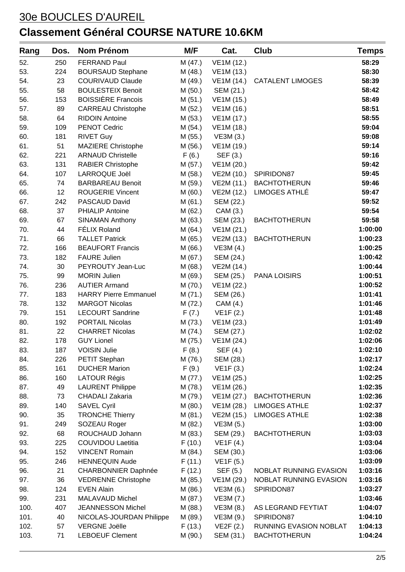| Rang | Dos. | <b>Nom Prénom</b>            | M/F     | Cat.       | Club                          | Temps   |
|------|------|------------------------------|---------|------------|-------------------------------|---------|
| 52.  | 250  | <b>FERRAND Paul</b>          | M (47.) | VE1M (12.) |                               | 58:29   |
| 53.  | 224  | <b>BOURSAUD Stephane</b>     | M (48.) | VE1M (13.) |                               | 58:30   |
| 54.  | 23   | <b>COURIVAUD Claude</b>      | M (49.) | VE1M (14.) | <b>CATALENT LIMOGES</b>       | 58:39   |
| 55.  | 58   | <b>BOULESTEIX Benoit</b>     | M(50.)  | SEM (21.)  |                               | 58:42   |
| 56.  | 153  | <b>BOISSIÈRE Francois</b>    | M(51.)  | VE1M (15.) |                               | 58:49   |
| 57.  | 89   | <b>CARREAU Christophe</b>    | M (52.) | VE1M (16.) |                               | 58:51   |
| 58.  | 64   | <b>RIDOIN Antoine</b>        | M(53.)  | VE1M (17.) |                               | 58:55   |
| 59.  | 109  | <b>PENOT Cedric</b>          | M (54.) | VE1M (18.) |                               | 59:04   |
| 60.  | 181  | <b>RIVET Guy</b>             | M (55.) | VE3M (3.)  |                               | 59:08   |
| 61.  | 51   | MAZIERE Christophe           | M (56.) | VE1M (19.) |                               | 59:14   |
| 62.  | 221  | <b>ARNAUD Christelle</b>     | F(6.)   | SEF (3.)   |                               | 59:16   |
| 63.  | 131  | RABIER Christophe            | M (57.) | VE1M (20.) |                               | 59:42   |
| 64.  | 107  | LARROQUE Joël                | M (58.) | VE2M (10.) | SPIRIDON87                    | 59:45   |
| 65.  | 74   | <b>BARBAREAU Benoit</b>      | M (59.) | VE2M (11.) | <b>BACHTOTHERUN</b>           | 59:46   |
| 66.  | 12   | <b>ROUGERIE Vincent</b>      | M(60.)  | VE2M (12.) | LIMOGES ATHLÉ                 | 59:47   |
| 67.  | 242  | PASCAUD David                | M(61.)  | SEM (22.)  |                               | 59:52   |
| 68.  | 37   | <b>PHIALIP Antoine</b>       | M (62.) | CAM (3.)   |                               | 59:54   |
| 69.  | 67   | <b>SINAMAN Anthony</b>       | M(63.)  | SEM (23.)  | <b>BACHTOTHERUN</b>           | 59:58   |
| 70.  | 44   | <b>FÉLIX Roland</b>          | M (64.) | VE1M (21.) |                               | 1:00:00 |
| 71.  | 66   | <b>TALLET Patrick</b>        | M (65.) | VE2M (13.) | <b>BACHTOTHERUN</b>           | 1:00:23 |
| 72.  | 166  | <b>BEAUFORT Francis</b>      | M (66.) | VE3M (4.)  |                               | 1:00:25 |
| 73.  | 182  | <b>FAURE Julien</b>          | M (67.) | SEM (24.)  |                               | 1:00:42 |
| 74.  | 30   | PEYROUTY Jean-Luc            | M (68.) | VE2M (14.) |                               | 1:00:44 |
| 75.  | 99   | <b>MORIN Julien</b>          | M (69.) | SEM (25.)  | <b>PANA LOISIRS</b>           | 1:00:51 |
| 76.  | 236  | <b>AUTIER Armand</b>         | M (70.) | VE1M (22.) |                               | 1:00:52 |
| 77.  | 183  | <b>HARRY Pierre Emmanuel</b> | M (71.) | SEM (26.)  |                               | 1:01:41 |
| 78.  | 132  | <b>MARGOT Nicolas</b>        | M (72.) | CAM (4.)   |                               | 1:01:46 |
| 79.  | 151  | <b>LECOURT Sandrine</b>      | F(7.)   | VE1F (2.)  |                               | 1:01:48 |
| 80.  | 192  | PORTAIL Nicolas              | M (73.) | VE1M (23.) |                               | 1:01:49 |
| 81.  | 22   | <b>CHARRET Nicolas</b>       | M (74.) | SEM (27.)  |                               | 1:02:02 |
| 82.  | 178  | <b>GUY Lionel</b>            | M (75.) | VE1M (24.) |                               | 1:02:06 |
| 83.  | 187  | <b>VOISIN Julie</b>          | F(8.)   | SEF (4.)   |                               | 1:02:10 |
| 84.  | 226  | PETIT Stephan                | M (76.) | SEM (28.)  |                               | 1:02:17 |
| 85.  | 161  | <b>DUCHER Marion</b>         | F(9.)   | VE1F(3.)   |                               | 1:02:24 |
| 86.  | 160  | <b>LATOUR Régis</b>          | M (77.) | VE1M (25.) |                               | 1:02:25 |
| 87.  | 49   | <b>LAURENT Philippe</b>      | M (78.) | VE1M (26.) |                               | 1:02:35 |
| 88.  | 73   | <b>CHADALI Zakaria</b>       | M (79.) | VE1M (27.) | <b>BACHTOTHERUN</b>           | 1:02:36 |
| 89.  | 140  | <b>SAVEL Cyril</b>           | M(80.)  | VE1M (28.) | <b>LIMOGES ATHLE</b>          | 1:02:37 |
| 90.  | 35   | <b>TRONCHE Thierry</b>       | M (81.) | VE2M (15.) | <b>LIMOGES ATHLE</b>          | 1:02:38 |
| 91.  | 249  | SOZEAU Roger                 | M (82.) | VE3M (5.)  |                               | 1:03:00 |
| 92.  | 68   | ROUCHAUD Johann              | M (83.) | SEM (29.)  | <b>BACHTOTHERUN</b>           | 1:03:03 |
| 93.  | 225  | <b>COUVIDOU Laetitia</b>     | F(10.)  | VE1F(4.)   |                               | 1:03:04 |
| 94.  | 152  | <b>VINCENT Romain</b>        | M (84.) | SEM (30.)  |                               | 1:03:06 |
| 95.  | 246  | <b>HENNEQUIN Aude</b>        | F(11.)  | VE1F (5.)  |                               | 1:03:09 |
| 96.  | 21   | <b>CHARBONNIER Daphnée</b>   | F(12.)  | SEF (5.)   | <b>NOBLAT RUNNING EVASION</b> | 1:03:16 |
| 97.  | 36   | <b>VEDRENNE Christophe</b>   | M (85.) | VE1M (29.) | <b>NOBLAT RUNNING EVASION</b> | 1:03:16 |
| 98.  | 124  | <b>EVEN Alain</b>            | M (86.) | VE3M (6.)  | SPIRIDON87                    | 1:03:27 |
| 99.  | 231  | <b>MALAVAUD Michel</b>       | M (87.) | VE3M (7.)  |                               | 1:03:46 |
| 100. | 407  | <b>JEANNESSON Michel</b>     | M(88.)  | VE3M (8.)  | AS LEGRAND FEYTIAT            | 1:04:07 |
| 101. | 40   | NICOLAS-JOURDAN Philippe     | M (89.) | VE3M (9.)  | SPIRIDON87                    | 1:04:10 |
| 102. | 57   | <b>VERGNE Joëlle</b>         | F(13.)  | VE2F(2.)   | RUNNING EVASION NOBLAT        | 1:04:13 |
| 103. | 71   | <b>LEBOEUF Clement</b>       | M (90.) | SEM (31.)  | <b>BACHTOTHERUN</b>           | 1:04:24 |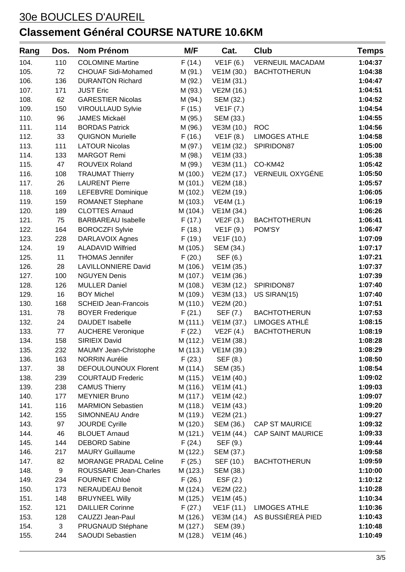| Rang | Dos. | <b>Nom Prénom</b>            | M/F      | Cat.                | Club                     | Temps   |
|------|------|------------------------------|----------|---------------------|--------------------------|---------|
| 104. | 110  | <b>COLOMINE Martine</b>      | F(14.)   | VE1F (6.)           | <b>VERNEUIL MACADAM</b>  | 1:04:37 |
| 105. | 72   | <b>CHOUAF Sidi-Mohamed</b>   | M (91.)  | VE1M (30.)          | <b>BACHTOTHERUN</b>      | 1:04:38 |
| 106. | 136  | <b>DURANTON Richard</b>      | M (92.)  | VE1M (31.)          |                          | 1:04:47 |
| 107. | 171  | <b>JUST Eric</b>             | M (93.)  | VE2M (16.)          |                          | 1:04:51 |
| 108. | 62   | <b>GARESTIER Nicolas</b>     | M (94.)  | SEM (32.)           |                          | 1:04:52 |
| 109. | 150  | <b>VIROULLAUD Sylvie</b>     | F(15.)   | VE1F (7.)           |                          | 1:04:54 |
| 110. | 96   | <b>JAMES Mickaël</b>         | M (95.)  | SEM (33.)           |                          | 1:04:55 |
| 111. | 114  | <b>BORDAS Patrick</b>        | M (96.)  | VE3M (10.)          | <b>ROC</b>               | 1:04:56 |
| 112. | 33   | <b>QUIGNON Murielle</b>      | F(16.)   | VE1F(8.)            | <b>LIMOGES ATHLE</b>     | 1:04:58 |
| 113. | 111  | <b>LATOUR Nicolas</b>        | M (97.)  | VE1M (32.)          | SPIRIDON87               | 1:05:00 |
| 114. | 133  | <b>MARGOT Remi</b>           | M (98.)  | VE1M (33.)          |                          | 1:05:38 |
| 115. | 47   | ROUVEIX Roland               | M (99.)  | VE3M (11.)          | CO-KM42                  | 1:05:42 |
| 116. | 108  | <b>TRAUMAT Thierry</b>       | M (100.) | VE2M (17.)          | VERNEUIL OXYGÉNE         | 1:05:50 |
| 117. | 26   | <b>LAURENT Pierre</b>        | M (101.) | VE2M (18.)          |                          | 1:05:57 |
| 118. | 169  | LEFEBVRE Dominique           | M (102.) | VE2M (19.)          |                          | 1:06:05 |
| 119. | 159  | <b>ROMANET Stephane</b>      | M (103.) | VE4M (1.)           |                          | 1:06:19 |
| 120. | 189  | <b>CLOTTES Arnaud</b>        | M (104.) | VE1M (34.)          |                          | 1:06:26 |
| 121. | 75   | <b>BARBAREAU Isabelle</b>    | F(17.)   | VE2F(3.)            | <b>BACHTOTHERUN</b>      | 1:06:41 |
| 122. | 164  | <b>BOROCZFI Sylvie</b>       | F(18.)   | VE1F (9.)           | POM'SY                   | 1:06:47 |
| 123. | 228  | DARLAVOIX Agnes              | F(19.)   | VE1F (10.)          |                          | 1:07:09 |
| 124. | 19   | <b>ALADAVID Wilfried</b>     | M (105.) | SEM (34.)           |                          | 1:07:17 |
| 125. | 11   | <b>THOMAS Jennifer</b>       | F(20.)   | SEF (6.)            |                          | 1:07:21 |
| 126. | 28   | <b>LAVILLONNIERE David</b>   | M (106.) | VE1M (35.)          |                          | 1:07:37 |
| 127. | 100  | <b>NGUYEN Denis</b>          | M (107.) | VE1M (36.)          |                          | 1:07:39 |
| 128. | 126  | <b>MULLER Daniel</b>         | M (108.) | VE3M (12.)          | SPIRIDON87               | 1:07:40 |
| 129. | 16   | <b>BOY Michel</b>            | M (109.) | VE3M (13.)          | US SIRAN(15)             | 1:07:40 |
| 130. | 168  | <b>SCHEID Jean-Francois</b>  | M (110.) | VE2M (20.)          |                          | 1:07:51 |
| 131. | 78   | <b>BOYER Frederique</b>      | F(21.)   | SEF (7.)            | <b>BACHTOTHERUN</b>      | 1:07:53 |
| 132. | 24   | <b>DAUDET</b> Isabelle       | M (111.) | VE1M (37.)          | LIMOGES ATHLÉ            | 1:08:15 |
| 133. | 77   | <b>AUCHERE Veronique</b>     | F(22.)   | VE2F(4.)            | <b>BACHTOTHERUN</b>      | 1:08:19 |
| 134. | 158  | SIRIEIX David                | M (112.) | VE1M (38.)          |                          | 1:08:28 |
| 135. | 232  | MAUMY Jean-Christophe        |          | M (113.) VE1M (39.) |                          | 1:08:29 |
| 136. | 163  | <b>NORRIN Aurélie</b>        | F(23.)   | SEF (8.)            |                          | 1:08:50 |
| 137. | 38   | DEFOULOUNOUX Florent         | M (114.) | SEM (35.)           |                          | 1:08:54 |
| 138. | 239  | <b>COURTAUD Frederic</b>     | M (115.) | VE1M (40.)          |                          | 1:09:02 |
| 139. | 238  | <b>CAMUS Thierry</b>         | M (116.) | VE1M (41.)          |                          | 1:09:03 |
| 140. | 177  | <b>MEYNIER Bruno</b>         | M (117.) | VE1M (42.)          |                          | 1:09:07 |
| 141. | 116  | <b>MARMION Sebastien</b>     | M (118.) | VE1M (43.)          |                          | 1:09:20 |
| 142. | 155  | SIMONNEAU Andre              | M (119.) | VE2M (21.)          |                          | 1:09:27 |
| 143. | 97   | <b>JOURDE Cyrille</b>        | M (120.) | SEM (36.)           | <b>CAP ST MAURICE</b>    | 1:09:32 |
| 144. | 46   | <b>BLOUET Arnaud</b>         | M (121.) | VE1M (44.)          | <b>CAP SAINT MAURICE</b> | 1:09:33 |
| 145. | 144  | <b>DEBORD Sabine</b>         | F(24.)   | SEF (9.)            |                          | 1:09:44 |
| 146. | 217  | <b>MAURY Guillaume</b>       | M (122.) | SEM (37.)           |                          | 1:09:58 |
| 147. | 82   | <b>MORANGE PRADAL Celine</b> | F(25.)   | SEF (10.)           | <b>BACHTOTHERUN</b>      | 1:09:59 |
| 148. | 9    | ROUSSARIE Jean-Charles       | M (123.) | SEM (38.)           |                          | 1:10:00 |
| 149. | 234  | <b>FOURNET Chloé</b>         | F(26.)   | EST(2.)             |                          | 1:10:12 |
| 150. | 173  | <b>NERAUDEAU Benoit</b>      | M (124.) | VE2M (22.)          |                          | 1:10:28 |
| 151. | 148  | <b>BRUYNEEL Willy</b>        | M (125.) | VE1M (45.)          |                          | 1:10:34 |
| 152. | 121  | <b>DAILLIER Corinne</b>      | F(27.)   | VE1F (11.)          | <b>LIMOGES ATHLE</b>     | 1:10:36 |
| 153. | 128  | CAUZZI Jean-Paul             | M (126.) | VE3M (14.)          | AS BUSSIÈREÀ PIED        | 1:10:43 |
| 154. | 3    | PRUGNAUD Stéphane            | M (127.) | SEM (39.)           |                          | 1:10:48 |
| 155. | 244  | SAOUDI Sebastien             | M (128.) | VE1M (46.)          |                          | 1:10:49 |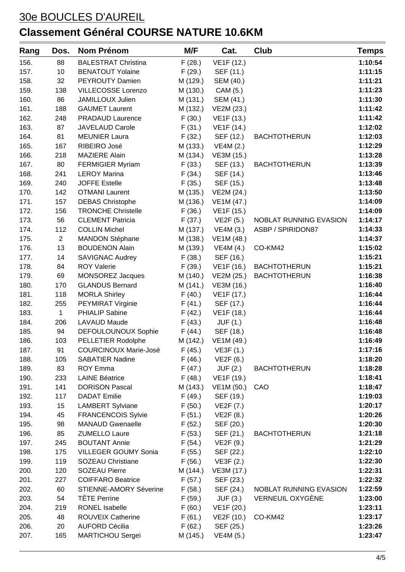| Rang | Dos.           | <b>Nom Prénom</b>             | M/F      | Cat.                 | Club                   | Temps   |
|------|----------------|-------------------------------|----------|----------------------|------------------------|---------|
| 156. | 88             | <b>BALESTRAT Christina</b>    | F(28.)   | VE1F (12.)           |                        | 1:10:54 |
| 157. | 10             | <b>BENATOUT Yolaine</b>       | F(29.)   | SEF (11.)            |                        | 1:11:15 |
| 158. | 32             | PEYROUTY Damien               | M (129.) | SEM (40.)            |                        | 1:11:21 |
| 159. | 138            | VILLECOSSE Lorenzo            | M (130.) | CAM (5.)             |                        | 1:11:23 |
| 160. | 86             | JAMILLOUX Julien              | M (131.) | SEM (41.)            |                        | 1:11:30 |
| 161. | 188            | <b>GAUMET Laurent</b>         | M (132.) | VE2M (23.)           |                        | 1:11:42 |
| 162. | 248            | <b>PRADAUD Laurence</b>       | F(30.)   | VE1F (13.)           |                        | 1:11:42 |
| 163. | 87             | <b>JAVELAUD Carole</b>        | F(31.)   | VE1F (14.)           |                        | 1:12:02 |
| 164. | 81             | <b>MEUNIER Laura</b>          | F(32.)   | SEF (12.)            | <b>BACHTOTHERUN</b>    | 1:12:03 |
| 165. | 167            | RIBEIRO José                  | M (133.) | VE4M (2.)            |                        | 1:12:29 |
| 166. | 218            | <b>MAZIERE Alain</b>          | M (134.) | VE3M (15.)           |                        | 1:13:28 |
| 167. | 80             | <b>FERMIGIER Myriam</b>       | F(33.)   | SEF (13.)            | <b>BACHTOTHERUN</b>    | 1:13:39 |
| 168. | 241            | <b>LEROY Marina</b>           | F(34.)   | SEF (14.)            |                        | 1:13:46 |
| 169. | 240            | <b>JOFFE Estelle</b>          | F(35.)   | SEF (15.)            |                        | 1:13:48 |
| 170. | 142            | <b>OTMANI Laurent</b>         | M (135.) | VE2M (24.)           |                        | 1:13:50 |
| 171. | 157            | <b>DEBAS Christophe</b>       | M (136.) | VE1M (47.)           |                        | 1:14:09 |
| 172. | 156            | <b>TRONCHE Christelle</b>     | F(36.)   | VE1F (15.)           |                        | 1:14:09 |
| 173. | 56             | <b>CLEMENT Patricia</b>       | F(37.)   | <b>VE2F (5.)</b>     | NOBLAT RUNNING EVASION | 1:14:17 |
| 174. | 112            | <b>COLLIN Michel</b>          | M (137.) | VE4M (3.)            | ASBP / SPIRIDON87      | 1:14:33 |
| 175. | $\overline{2}$ | <b>MANDON Stéphane</b>        | M (138.) | VE1M (48.)           |                        | 1:14:37 |
| 176. | 13             | <b>BOUDENON Alain</b>         | M (139.) | VE4M (4.)            | CO-KM42                | 1:15:02 |
| 177. | 14             | <b>SAVIGNAC Audrey</b>        | F(38.)   | SEF (16.)            |                        | 1:15:21 |
| 178. | 84             | <b>ROY Valerie</b>            | F(39.)   | VE1F (16.)           | <b>BACHTOTHERUN</b>    | 1:15:21 |
| 179. | 69             | <b>MONSOREZ Jacques</b>       | M (140.) | VE2M (25.)           | <b>BACHTOTHERUN</b>    | 1:16:38 |
| 180. | 170            | <b>GLANDUS Bernard</b>        | M (141.) | VE3M (16.)           |                        | 1:16:40 |
| 181. | 118            | <b>MORLA Shirley</b>          | F(40.)   | VE1F (17.)           |                        | 1:16:44 |
| 182. | 255            | PEYMIRAT Virginie             | F(41.)   | SEF (17.)            |                        | 1:16:44 |
| 183. | $\mathbf{1}$   | PHIALIP Sabine                | F(42.)   | VE1F (18.)           |                        | 1:16:44 |
| 184. | 206            | <b>LAVAUD Maude</b>           | F(43.)   | JUF (1.)             |                        | 1:16:48 |
| 185. | 94             | DEFOULOUNOUX Sophie           | F(44.)   | SEF (18.)            |                        | 1:16:48 |
| 186. | 103            | PELLETIER Rodolphe            | M (142.) | VE1M (49.)           |                        | 1:16:49 |
| 187. | 91             | COURCINOUX Marie-José         |          | $F(45.)$ VE3F $(1.)$ |                        | 1:17:16 |
| 188. | 105            | <b>SABATIER Nadine</b>        | F(46.)   | VE2F (6.)            |                        | 1:18:20 |
| 189. | 83             | <b>ROY Emma</b>               | F(47.)   | JUF (2.)             | <b>BACHTOTHERUN</b>    | 1:18:28 |
| 190. | 233            | <b>LAINE Béatrice</b>         | F(48.)   | VE1F (19.)           |                        | 1:18:41 |
| 191. | 141            | <b>DORISON Pascal</b>         | M (143.) | VE1M (50.)           | CAO                    | 1:18:47 |
| 192. | 117            | <b>DADAT Emilie</b>           | F(49.)   | SEF (19.)            |                        | 1:19:03 |
| 193. | 15             | <b>LAMBERT Sylviane</b>       | F(50.)   | VE2F (7.)            |                        | 1:20:17 |
| 194. | 45             | <b>FRANCENCOIS Sylvie</b>     | F(51.)   | VE2F (8.)            |                        | 1:20:26 |
| 195. | 98             | <b>MANAUD Gwenaelle</b>       | F(52.)   | SEF (20.)            |                        | 1:20:30 |
| 196. | 85             | <b>ZUMELLO Laure</b>          | F(53.)   | SEF (21.)            | <b>BACHTOTHERUN</b>    | 1:21:18 |
| 197. | 245            | <b>BOUTANT Annie</b>          | F(54.)   | VE2F (9.)            |                        | 1:21:29 |
| 198. | 175            | VILLEGER GOUMY Sonia          | F(55.)   | SEF (22.)            |                        | 1:22:10 |
| 199. | 119            | <b>SOZEAU Christiane</b>      | F(56.)   | VE3F(2.)             |                        | 1:22:30 |
| 200. | 120            | <b>SOZEAU Pierre</b>          | M (144.) | VE3M (17.)           |                        | 1:22:31 |
| 201. | 227            | <b>COIFFARO Beatrice</b>      | F(57.)   | SEF (23.)            |                        | 1:22:32 |
| 202. | 60             | <b>STIENNE-AMORY Séverine</b> | F(58.)   | SEF (24.)            | NOBLAT RUNNING EVASION | 1:22:59 |
| 203. | 54             | <b>TÊTE Perrine</b>           | F(59.)   | JUF (3.)             | VERNEUIL OXYGÈNE       | 1:23:00 |
| 204. | 219            | <b>RONEL Isabelle</b>         | F(60.)   | VE1F (20.)           |                        | 1:23:11 |
| 205. | 48             | <b>ROUVEIX Catherine</b>      | F(61.)   | VE2F (10.)           | CO-KM42                | 1:23:17 |
| 206. | 20             | <b>AUFORD Cécilia</b>         | F(62.)   | SEF (25.)            |                        | 1:23:26 |
| 207. | 165            | <b>MARTICHOU Sergei</b>       | M (145.) | VE4M (5.)            |                        | 1:23:47 |